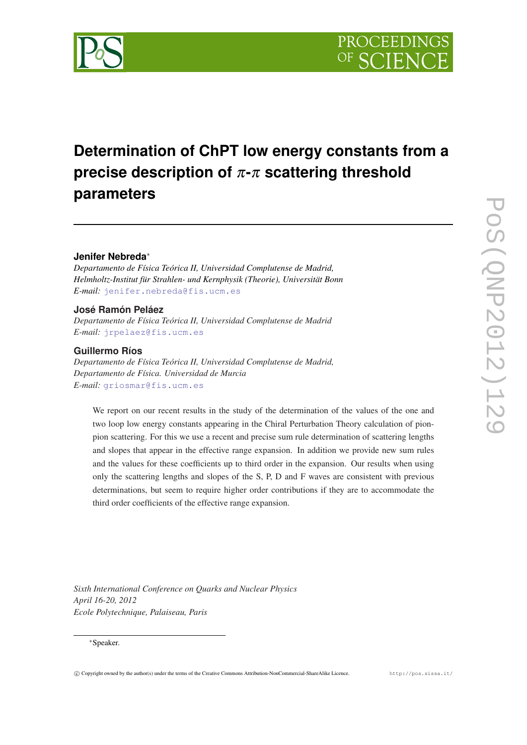

# **Determination of ChPT low energy constants from a precise description of** π**-**π **scattering threshold parameters**

## **Jenifer Nebreda**<sup>∗</sup>

*Departamento de Física Teórica II, Universidad Complutense de Madrid, Helmholtz-Institut für Strahlen- und Kernphysik (Theorie), Universität Bonn E-mail:* [jenifer.nebreda@fis.ucm.es](mailto:jenifer.nebreda@fis.ucm.es)

#### **José Ramón Peláez**

*Departamento de Física Teórica II, Universidad Complutense de Madrid E-mail:* [jrpelaez@fis.ucm.es](mailto:jrpelaez@fis.ucm.es)

### **Guillermo Ríos**

*Departamento de Física Teórica II, Universidad Complutense de Madrid, Departamento de Física. Universidad de Murcia E-mail:* [griosmar@fis.ucm.es](mailto:griosmar@fis.ucm.es)

We report on our recent results in the study of the determination of the values of the one and two loop low energy constants appearing in the Chiral Perturbation Theory calculation of pionpion scattering. For this we use a recent and precise sum rule determination of scattering lengths and slopes that appear in the effective range expansion. In addition we provide new sum rules and the values for these coefficients up to third order in the expansion. Our results when using only the scattering lengths and slopes of the S, P, D and F waves are consistent with previous determinations, but seem to require higher order contributions if they are to accommodate the third order coefficients of the effective range expansion.

*Sixth International Conference on Quarks and Nuclear Physics April 16-20, 2012 Ecole Polytechnique, Palaiseau, Paris*

#### <sup>∗</sup>Speaker.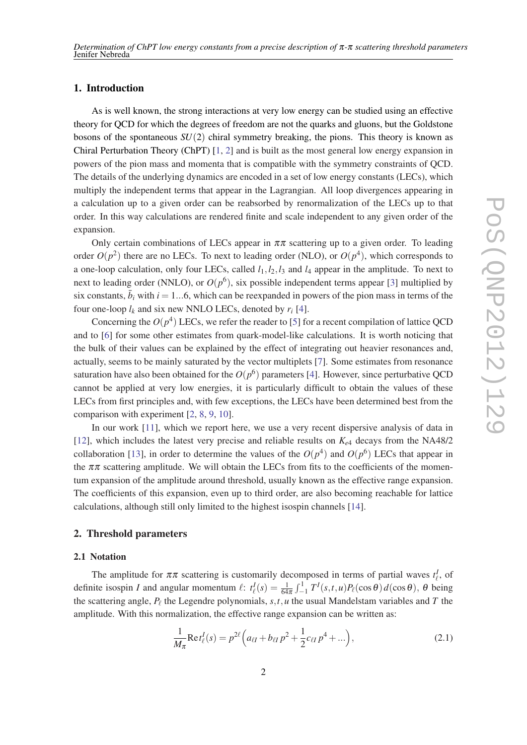#### 1. Introduction

As is well known, the strong interactions at very low energy can be studied using an effective theory for QCD for which the degrees of freedom are not the quarks and gluons, but the Goldstone bosons of the spontaneous *SU*(2) chiral symmetry breaking, the pions. This theory is known as Chiral Perturbation Theory (ChPT) [[1](#page-5-0), [2](#page-5-0)] and is built as the most general low energy expansion in powers of the pion mass and momenta that is compatible with the symmetry constraints of QCD. The details of the underlying dynamics are encoded in a set of low energy constants (LECs), which multiply the independent terms that appear in the Lagrangian. All loop divergences appearing in a calculation up to a given order can be reabsorbed by renormalization of the LECs up to that order. In this way calculations are rendered finite and scale independent to any given order of the expansion.

Only certain combinations of LECs appear in  $\pi\pi$  scattering up to a given order. To leading order  $O(p^2)$  there are no LECs. To next to leading order (NLO), or  $O(p^4)$ , which corresponds to a one-loop calculation, only four LECs, called  $l_1$ ,  $l_2$ ,  $l_3$  and  $l_4$  appear in the amplitude. To next to next to leading order (NNLO), or  $O(p^6)$ , six possible independent terms appear [[3](#page-5-0)] multiplied by six constants,  $\bar{b}_i$  with  $i = 1...6$ , which can be reexpanded in powers of the pion mass in terms of the four one-loop  $l_k$  and six new NNLO LECs, denoted by  $r_i$  [[4](#page-5-0)].

Concerning the  $O(p^4)$  LECs, we refer the reader to [[5](#page-5-0)] for a recent compilation of lattice QCD and to [\[6](#page-5-0)] for some other estimates from quark-model-like calculations. It is worth noticing that the bulk of their values can be explained by the effect of integrating out heavier resonances and, actually, seems to be mainly saturated by the vector multiplets [[7](#page-5-0)]. Some estimates from resonance saturation have also been obtained for the  $O(p^6)$  parameters [[4](#page-5-0)]. However, since perturbative QCD cannot be applied at very low energies, it is particularly difficult to obtain the values of these LECs from first principles and, with few exceptions, the LECs have been determined best from the comparison with experiment [\[2,](#page-5-0) [8,](#page-5-0) [9,](#page-5-0) [10](#page-5-0)].

In our work [\[11\]](#page-5-0), which we report here, we use a very recent dispersive analysis of data in [[12\]](#page-5-0), which includes the latest very precise and reliable results on  $K_{e4}$  decays from the NA48/2 collaboration [[13\]](#page-5-0), in order to determine the values of the  $O(p^4)$  and  $O(p^6)$  LECs that appear in the  $\pi\pi$  scattering amplitude. We will obtain the LECs from fits to the coefficients of the momentum expansion of the amplitude around threshold, usually known as the effective range expansion. The coefficients of this expansion, even up to third order, are also becoming reachable for lattice calculations, although still only limited to the highest isospin channels [\[14](#page-5-0)].

#### 2. Threshold parameters

#### 2.1 Notation

The amplitude for  $\pi \pi$  scattering is customarily decomposed in terms of partial waves  $t_{\ell}^I$ , of definite isospin *I* and angular momentum  $\ell$ :  $t_{\ell}^{I}(s) = \frac{1}{64\pi} \int_{-1}^{1} T^{I}(s, t, u) P_{\ell}(\cos \theta) d(\cos \theta)$ ,  $\theta$  being the scattering angle,  $P_\ell$  the Legendre polynomials,  $s, t, u$  the usual Mandelstam variables and *T* the amplitude. With this normalization, the effective range expansion can be written as:

$$
\frac{1}{M_{\pi}} \text{Re} t_{\ell}^{I}(s) = p^{2\ell} \left( a_{\ell I} + b_{\ell I} p^{2} + \frac{1}{2} c_{\ell I} p^{4} + \dots \right), \tag{2.1}
$$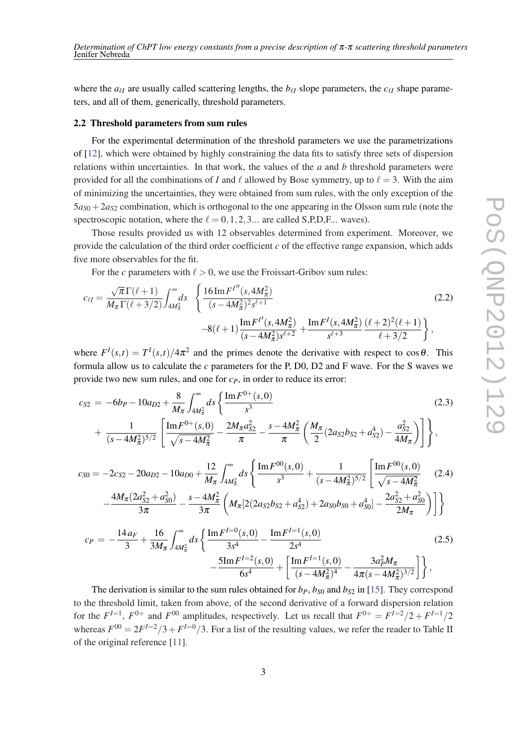where the  $a_{\ell\ell}$  are usually called scattering lengths, the  $b_{\ell\ell}$  slope parameters, the  $c_{\ell\ell}$  shape parameters, and all of them, generically, threshold parameters.

#### 2.2 Threshold parameters from sum rules

For the experimental determination of the threshold parameters we use the parametrizations of [[12\]](#page-5-0), which were obtained by highly constraining the data fits to satisfy three sets of dispersion relations within uncertainties. In that work, the values of the *a* and *b* threshold parameters were provided for all the combinations of *I* and  $\ell$  allowed by Bose symmetry, up to  $\ell = 3$ . With the aim of minimizing the uncertainties, they were obtained from sum rules, with the only exception of the  $5a_{50} + 2a_{52}$  combination, which is orthogonal to the one appearing in the Olsson sum rule (note the spectroscopic notation, where the  $\ell = 0, 1, 2, 3...$  are called S,P,D,F... waves).

Those results provided us with 12 observables determined from experiment. Moreover, we provide the calculation of the third order coefficient *c* of the effective range expansion, which adds five more observables for the fit.

For the *c* parameters with  $\ell > 0$ , we use the Froissart-Gribov sum rules:

$$
c_{\ell l} = \frac{\sqrt{\pi} \Gamma(\ell+1)}{M_{\pi} \Gamma(\ell+3/2)} \int_{4M_{\pi}^2}^{\infty} ds \quad \left\{ \frac{16 \operatorname{Im} F^{l''}(s, 4M_{\pi}^2)}{(s - 4M_{\pi}^2)^2 s^{\ell+1}} - 8(\ell+1) \frac{\operatorname{Im} F^{l'}(s, 4M_{\pi}^2)}{(s - 4M_{\pi}^2)s^{\ell+2}} + \frac{\operatorname{Im} F^{l}(s, 4M_{\pi}^2)}{s^{\ell+3}} \frac{(\ell+2)^2 (\ell+1)}{(\ell+3/2)} \right\},
$$
(2.2)

where  $F^I(s,t) = T^I(s,t)/4\pi^2$  and the primes denote the derivative with respect to cos $\theta$ . This formula allow us to calculate the *c* parameters for the P, D0, D2 and F wave. For the S waves we provide two new sum rules, and one for *cP*, in order to reduce its error:

$$
c_{S2} = -6b_P - 10a_{D2} + \frac{8}{M_{\pi}} \int_{4M_{\pi}^2}^{\infty} ds \left\{ \frac{\text{Im} F^{0+}(s,0)}{s^3} + \frac{1}{(s - 4M_{\pi}^2)^{5/2}} \left[ \frac{\text{Im} F^{0+}(s,0)}{\sqrt{s - 4M_{\pi}^2}} - \frac{2M_{\pi}a_{S2}^2}{\pi} - \frac{s - 4M_{\pi}^2}{\pi} \left( \frac{M_{\pi}}{2} (2a_{S2}b_{S2} + a_{S2}^4) - \frac{a_{S2}^2}{4M_{\pi}} \right) \right] \right\},
$$
(2.3)

$$
c_{S0} = -2c_{S2} - 20a_{D2} - 10a_{D0} + \frac{12}{M_{\pi}} \int_{4M_{\pi}^2}^{\infty} ds \left\{ \frac{\text{Im} F^{00}(s,0)}{s^3} + \frac{1}{(s - 4M_{\pi}^2)^{5/2}} \left[ \frac{\text{Im} F^{00}(s,0)}{\sqrt{s - 4M_{\pi}^2}} \right] \right\}
$$
(2.4)  

$$
-\frac{4M_{\pi}(2a_{S2}^2 + a_{S0}^2)}{3\pi} - \frac{s - 4M_{\pi}^2}{3\pi} \left( M_{\pi} [2(2a_{S2}b_{S2} + a_{S2}^4) + 2a_{S0}b_{S0} + a_{S0}^4] - \frac{2a_{S2}^2 + a_{S0}^2}{2M_{\pi}} \right) \right\}
$$

$$
c_{P} = -\frac{14a_{F}}{3} + \frac{16}{3M_{\pi}} \int_{4M_{\pi}^{2}}^{\infty} ds \left\{ \frac{\text{Im} F^{I=0}(s,0)}{3s^{4}} - \frac{\text{Im} F^{I=1}(s,0)}{2s^{4}} - \frac{5\text{Im} F^{I=2}(s,0)}{6s^{4}} + \left[ \frac{\text{Im} F^{I=1}(s,0)}{(s-4M_{\pi}^{2})^{4}} - \frac{3a_{P}^{2}M_{\pi}}{4\pi(s-4M_{\pi}^{2})^{3/2}} \right] \right\},
$$
\n(2.5)

The derivation is similar to the sum rules obtained for  $b_p$ ,  $b_{s0}$  and  $b_{s2}$  in [\[15](#page-5-0)]. They correspond to the threshold limit, taken from above, of the second derivative of a forward dispersion relation for the  $F^{I=1}$ ,  $F^{0+}$  and  $F^{00}$  amplitudes, respectively. Let us recall that  $F^{0+} = F^{I=2}/2 + F^{I=1}/2$ whereas  $F^{00} = 2F^{I=2}/3 + F^{I=0}/3$ . For a list of the resulting values, we refer the reader to Table II of the original reference [[11\]](#page-5-0).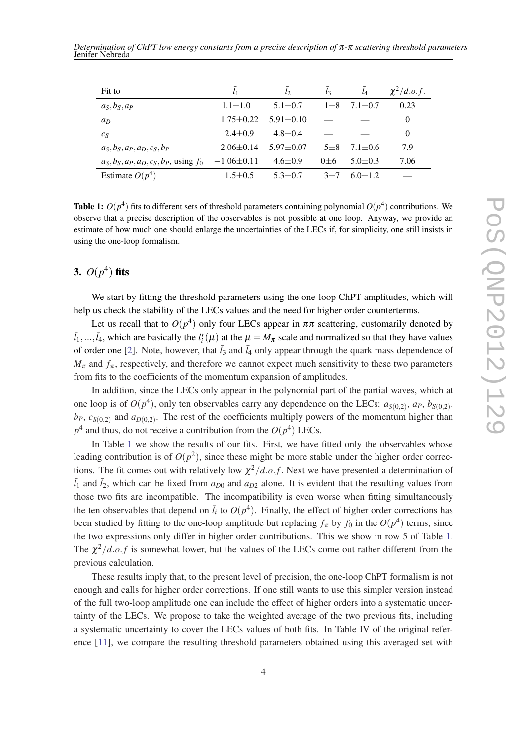| Fit to                                       | l <sub>1</sub>   | $l_2$           | $\overline{l}_3$ | $l_4$         | $\chi^2/d.o.f.$ |
|----------------------------------------------|------------------|-----------------|------------------|---------------|-----------------|
| $a_S, b_S, a_P$                              | $1.1 \pm 1.0$    | $5.1 \pm 0.7$   | $-1+8$           | $7.1 \pm 0.7$ | 0.23            |
| $a_D$                                        | $-1.75 \pm 0.22$ | $5.91 \pm 0.10$ |                  |               | $\theta$        |
| $c_S$                                        | $-2.4 \pm 0.9$   | $4.8 + 0.4$     |                  |               | 0               |
| $a_S, b_S, a_P, a_D, c_S, b_P$               | $-2.06\pm0.14$   | $5.97 \pm 0.07$ | $-5+8$           | $7.1 \pm 0.6$ | 7.9             |
| $a_S, b_S, a_P, a_D, c_S, b_P$ , using $f_0$ | $-1.06\pm0.11$   | $4.6 \pm 0.9$   | $0 + 6$          | $5.0 + 0.3$   | 7.06            |
| Estimate $O(p^4)$                            | $-1.5 \pm 0.5$   | $5.3 + 0.7$     | $-3+7$           | $6.0 + 1.2$   |                 |

Table 1:  $O(p^4)$  fits to different sets of threshold parameters containing polynomial  $O(p^4)$  contributions. We observe that a precise description of the observables is not possible at one loop. Anyway, we provide an estimate of how much one should enlarge the uncertainties of the LECs if, for simplicity, one still insists in using the one-loop formalism.

# 3.  $O(p^4)$  fits

We start by fitting the threshold parameters using the one-loop ChPT amplitudes, which will help us check the stability of the LECs values and the need for higher order counterterms.

Let us recall that to  $O(p^4)$  only four LECs appear in  $\pi\pi$  scattering, customarily denoted by  $\bar{l}_1,...,\bar{l}_4$ , which are basically the  $l_i^r(\mu)$  at the  $\mu = M_\pi$  scale and normalized so that they have values of order one [[2](#page-5-0)]. Note, however, that  $\bar{l}_3$  and  $\bar{l}_4$  only appear through the quark mass dependence of  $M_{\pi}$  and  $f_{\pi}$ , respectively, and therefore we cannot expect much sensitivity to these two parameters from fits to the coefficients of the momentum expansion of amplitudes.

In addition, since the LECs only appear in the polynomial part of the partial waves, which at one loop is of  $O(p^4)$ , only ten observables carry any dependence on the LECs:  $a_{S(0,2)}$ ,  $a_P$ ,  $b_{S(0,2)}$ ,  $b$ *P*,  $c$ <sub>*S*</sub>(0,2)</sub> and  $a$ <sub>*D*</sub>(0,2)</sub>. The rest of the coefficients multiply powers of the momentum higher than  $p^4$  and thus, do not receive a contribution from the  $O(p^4)$  LECs.

In Table 1 we show the results of our fits. First, we have fitted only the observables whose leading contribution is of  $O(p^2)$ , since these might be more stable under the higher order corrections. The fit comes out with relatively low  $\chi^2/d.o.f$ . Next we have presented a determination of  $\bar{l}_1$  and  $\bar{l}_2$ , which can be fixed from  $a_{D0}$  and  $a_{D2}$  alone. It is evident that the resulting values from those two fits are incompatible. The incompatibility is even worse when fitting simultaneously the ten observables that depend on  $\bar{l}_i$  to  $O(p^4)$ . Finally, the effect of higher order corrections has been studied by fitting to the one-loop amplitude but replacing  $f_{\pi}$  by  $f_0$  in the  $O(p^4)$  terms, since the two expressions only differ in higher order contributions. This we show in row 5 of Table 1. The  $\chi^2/d.o.f$  is somewhat lower, but the values of the LECs come out rather different from the previous calculation.

These results imply that, to the present level of precision, the one-loop ChPT formalism is not enough and calls for higher order corrections. If one still wants to use this simpler version instead of the full two-loop amplitude one can include the effect of higher orders into a systematic uncertainty of the LECs. We propose to take the weighted average of the two previous fits, including a systematic uncertainty to cover the LECs values of both fits. In Table IV of the original reference [[11\]](#page-5-0), we compare the resulting threshold parameters obtained using this averaged set with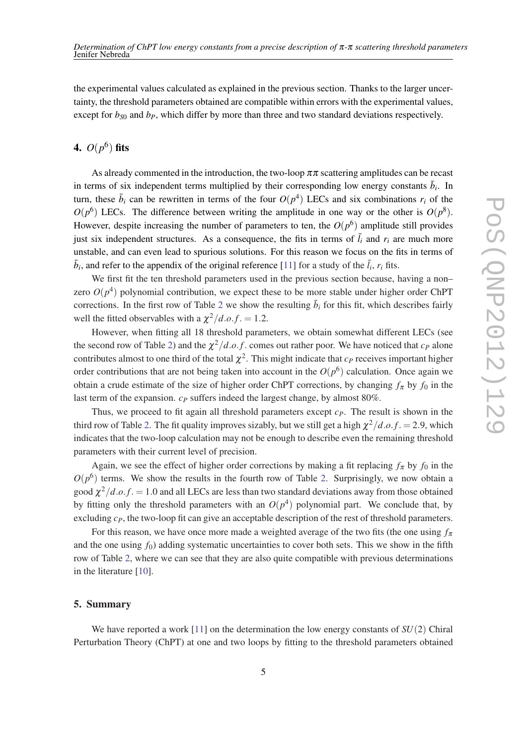the experimental values calculated as explained in the previous section. Thanks to the larger uncertainty, the threshold parameters obtained are compatible within errors with the experimental values, except for  $b_{50}$  and  $b_{P}$ , which differ by more than three and two standard deviations respectively.

# 4.  $O(p^6)$  fits

As already commented in the introduction, the two-loop  $\pi\pi$  scattering amplitudes can be recast in terms of six independent terms multiplied by their corresponding low energy constants  $\bar{b}_i$ . In turn, these  $\bar{b}_i$  can be rewritten in terms of the four  $O(p^4)$  LECs and six combinations  $r_i$  of the  $O(p^6)$  LECs. The difference between writing the amplitude in one way or the other is  $O(p^8)$ . However, despite increasing the number of parameters to ten, the  $O(p^6)$  amplitude still provides just six independent structures. As a consequence, the fits in terms of  $\bar{l}_i$  and  $r_i$  are much more unstable, and can even lead to spurious solutions. For this reason we focus on the fits in terms of  $\bar{b}_i$ , and refer to the appendix of the original reference [\[11](#page-5-0)] for a study of the  $\bar{l}_i$ ,  $r_i$  fits.

We first fit the ten threshold parameters used in the previous section because, having a non– zero  $O(p^4)$  polynomial contribution, we expect these to be more stable under higher order ChPT corrections. In the first row of Table [2](#page-5-0) we show the resulting  $\bar{b}_i$  for this fit, which describes fairly well the fitted observables with a  $\chi^2/d.o.f. = 1.2$ .

However, when fitting all 18 threshold parameters, we obtain somewhat different LECs (see the second row of Table [2](#page-5-0)) and the  $\chi^2/d.o.f.$  comes out rather poor. We have noticed that  $c_P$  alone contributes almost to one third of the total  $\chi^2$ . This might indicate that  $c_P$  receives important higher order contributions that are not being taken into account in the  $O(p^6)$  calculation. Once again we obtain a crude estimate of the size of higher order ChPT corrections, by changing  $f_{\pi}$  by  $f_0$  in the last term of the expansion. *c<sub>P</sub>* suffers indeed the largest change, by almost 80%.

Thus, we proceed to fit again all threshold parameters except *cP*. The result is shown in the third row of Table [2](#page-5-0). The fit quality improves sizably, but we still get a high  $\chi^2/d.o.f. = 2.9$ , which indicates that the two-loop calculation may not be enough to describe even the remaining threshold parameters with their current level of precision.

Again, we see the effect of higher order corrections by making a fit replacing  $f_\pi$  by  $f_0$  in the  $O(p^6)$  terms. We show the results in the fourth row of Table [2.](#page-5-0) Surprisingly, we now obtain a good  $\chi^2/d.o.f. = 1.0$  and all LECs are less than two standard deviations away from those obtained by fitting only the threshold parameters with an  $O(p^4)$  polynomial part. We conclude that, by excluding  $c<sub>P</sub>$ , the two-loop fit can give an acceptable description of the rest of threshold parameters.

For this reason, we have once more made a weighted average of the two fits (the one using  $f_{\pi}$ ) and the one using  $f_0$ ) adding systematic uncertainties to cover both sets. This we show in the fifth row of Table [2,](#page-5-0) where we can see that they are also quite compatible with previous determinations in the literature [\[10](#page-5-0)].

#### 5. Summary

We have reported a work  $[11]$  $[11]$  on the determination the low energy constants of  $SU(2)$  Chiral Perturbation Theory (ChPT) at one and two loops by fitting to the threshold parameters obtained